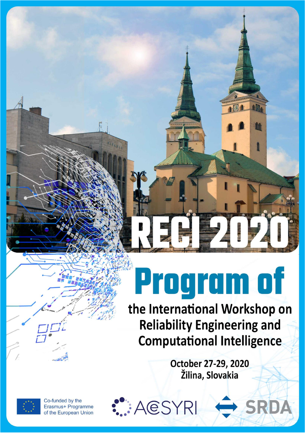# **Program of**

the International Workshop on **Reliability Engineering and Computational Intelligence** 

> October 27-29, 2020 Žilina, Slovakia



Co-funded by the Erasmus+ Programme of the European Union AESYRI

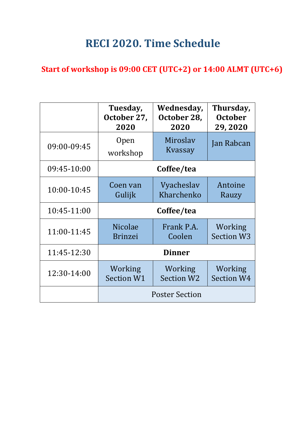## **RECI 2020. Time Schedule**

#### **Start of workshop is 09:00 CET (UTC+2) or 14:00 ALMT (UTC+6)**

|             | Tuesday,<br>October 27,<br>2020  | Wednesday,<br>October 28,<br>2020 | Thursday,<br><b>October</b><br>29,2020 |
|-------------|----------------------------------|-----------------------------------|----------------------------------------|
| 09:00-09:45 | 0pen<br>workshop                 | Miroslav<br>Kvassay               | Jan Rabcan                             |
| 09:45-10:00 | Coffee/tea                       |                                   |                                        |
| 10:00-10:45 | Coen van<br>Gulijk               | Vyacheslav<br>Kharchenko          | Antoine<br>Rauzy                       |
| 10:45-11:00 | Coffee/tea                       |                                   |                                        |
| 11:00-11:45 | <b>Nicolae</b><br><b>Brinzei</b> | Frank P.A.<br>Coolen              | Working<br><b>Section W3</b>           |
| 11:45-12:30 | <b>Dinner</b>                    |                                   |                                        |
| 12:30-14:00 | Working<br>Section W1            | Working<br><b>Section W2</b>      | Working<br><b>Section W4</b>           |
|             | <b>Poster Section</b>            |                                   |                                        |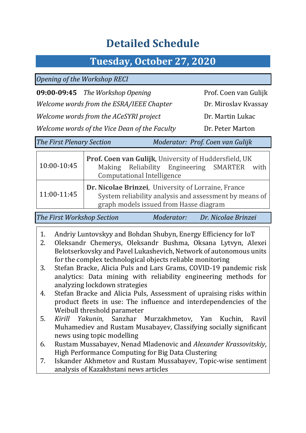## **Detailed Schedule**

## **Tuesday, October 27, 2020**

*Opening of the Workshop RECI*

**09:00-09:45** *The Workshop Opening* Prof. Coen van Gulijk

*Welcome words from the ESRA/IEEE Chapter* Dr. Miroslav Kvassay

*Welcome words from the ACeSYRI project* Dr. Martin Lukac

*Welcome words of the Vice Dean of the Faculty* Dr. Peter Marton

*The First Plenary Section Moderator: Prof. Coen van Gulijk*

| 10:00-10:45 | Prof. Coen van Gulijk, University of Huddersfield, UK<br>Making Reliability Engineering SMARTER with<br><b>Computational Intelligence</b>               |  |  |
|-------------|---------------------------------------------------------------------------------------------------------------------------------------------------------|--|--|
| 11:00-11:45 | Dr. Nicolae Brinzei, University of Lorraine, France<br>System reliability analysis and assessment by means of<br>graph models issued from Hasse diagram |  |  |

*The First Workshop Section Moderator: Dr. Nicolae Brinzei* 

- 1. Andriy Luntovskyy and Bohdan Shubyn, Energy Efficiency for IoT
- 2. Oleksandr Chemerys, Oleksandr Bushma, Oksana Lytvyn, Alexei Belotserkovsky and Pavel Lukashevich, Network of autonomous units for the complex technological objects reliable monitoring
- 3. Stefan Bracke, Alicia Puls and Lars Grams, COVID-19 pandemic risk analytics: Data mining with reliability engineering methods for analyzing lockdown strategies
- 4. Stefan Bracke and Alicia Puls, Assessment of upraising risks within product fleets in use: The influence and interdependencies of the Weibull threshold parameter
- 5. *Kirill Yakunin*, Sanzhar Murzakhmetov, Yan Kuchin, Ravil Muhamediev and Rustam Musabayev, Classifying socially significant news using topic modelling
- 6. Rustam Mussabayev, Nenad Mladenovic and *Alexander Krassovitskiy*, High Performance Computing for Big Data Clustering
- 7. Iskander Akhmetov and Rustam Mussabayev, Topic-wise sentiment analysis of Kazakhstani news articles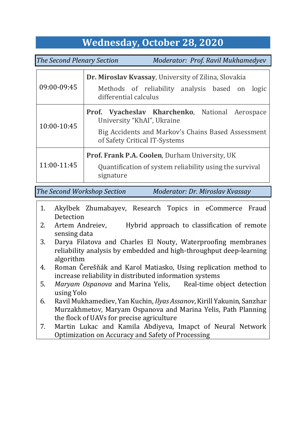## **Wednesday, October 28, 2020**

*The Second Plenary Section Moderator: Prof. Ravil Mukhamedyev* 

| 09:00-09:45 | Dr. Miroslav Kvassay, University of Zilina, Slovakia                                |  |  |  |
|-------------|-------------------------------------------------------------------------------------|--|--|--|
|             | Methods of reliability analysis based on logic<br>differential calculus             |  |  |  |
| 10:00-10:45 | Prof. Vyacheslav Kharchenko, National Aerospace<br>University "KhAI", Ukraine       |  |  |  |
|             | Big Accidents and Markov's Chains Based Assessment<br>of Safety Critical IT-Systems |  |  |  |
| 11:00-11:45 | <b>Prof. Frank P.A. Coolen, Durham University, UK</b>                               |  |  |  |
|             | Quantification of system reliability using the survival<br>signature                |  |  |  |

*The Second Workshop Section Moderator: Dr. Miroslav Kvassay*

- 1. Akylbek Zhumabayev, Research Topics in eCommerce Fraud Detection
- 2. Artem Andreiev, Hybrid approach to classification of remote sensing data
- 3. Darya Filatova and Charles El Nouty, Waterproofing membranes reliability analysis by embedded and high-throughput deep-learning algorithm
- 4. Roman Čerešňák and Karol Matiasko, Using replication method to increase reliability in distributed information systems
- 5. *Maryam Ospanova* and Marina Yelis, Real-time object detection using Yolo
- 6. Ravil Mukhamediev, Yan Kuchin, *Ilyas Assanov*, Kirill Yakunin, Sanzhar Murzakhmetov, Maryam Ospanova and Marina Yelis, Path Planning the flock of UAVs for precise agriculture
- 7. Martin Lukac and Kamila Abdiyeva, Imapct of Neural Network Optimization on Accuracy and Safety of Processing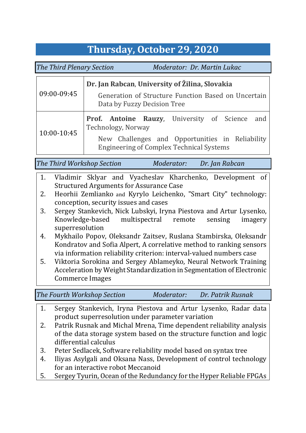## **Thursday, October 29, 2020**

*The Third Plenary Section Moderator: Dr. Martin Lukac*

| 09:00-09:45 | Dr. Jan Rabcan, University of Žilina, Slovakia                                                     |  |  |
|-------------|----------------------------------------------------------------------------------------------------|--|--|
|             | Generation of Structure Function Based on Uncertain<br>Data by Fuzzy Decision Tree                 |  |  |
| 10:00-10:45 | Prof. Antoine Rauzy, University of Science and<br>Technology, Norway                               |  |  |
|             | New Challenges and Opportunities in Reliability<br><b>Engineering of Complex Technical Systems</b> |  |  |

*The Third Workshop Section Moderator: Dr. Jan Rabcan*

- 1. Vladimir Sklyar and Vyacheslav Kharchenko, Development of Structured Arguments for Assurance Case
- 2. Heorhii Zemlianko and Kyrylo Leichenko, "Smart City" technology: conception, security issues and cases
- 3. Sergey Stankevich, Nick Lubskyi, Iryna Piestova and Artur Lysenko, Knowledge-based multispectral remote sensing imagery superresolution
- 4. Mykhailo Popov, Oleksandr Zaitsev, Ruslana Stambirska, Oleksandr Kondratov and Sofia Alpert, A correlative method to ranking sensors via information reliability criterion: interval-valued numbers case
- 5. Viktoria Sorokina and Sergey Ablameyko, Neural Network Training Acceleration by Weight Standardization in Segmentation of Electronic Commerce Images

*The Fourth Workshop Section Moderator: Dr. Patrik Rusnak*

- 1. Sergey Stankevich, Iryna Piestova and Artur Lysenko, Radar data product superresolution under parameter variation
- 2. Patrik Rusnak and Michal Mrena, Time dependent reliability analysis of the data storage system based on the structure function and logic differential calculus
- 3. Peter Sedlacek, Software reliability model based on syntax tree
- 4. Iliyas Asylgali and Oksana Nass, Development of control technology for an interactive robot Meccanoid
- 5. Sergey Tyurin, Ocean of the Redundancy for the Hyper Reliable FPGAs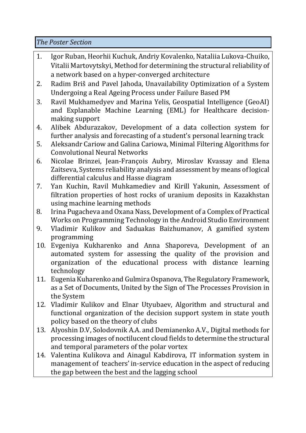*The Poster Section* 

- 1. Igor Ruban, Heorhii Kuchuk, Andriy Kovalenko, Nataliia Lukova-Chuiko, Vitalii Martovytskyi, Method for determining the structural reliability of a network based on a hyper-converged architecture
- 2. Radim Briš and Pavel Jahoda, Unavailability Optimization of a System Undergoing a Real Ageing Process under Failure Based PM
- 3. Ravil Mukhamedyev and Marina Yelis, Geospatial Intelligence (GeoAI) and Explanable Machine Learning (EML) for Healthcare decisionmaking support
- 4. Alibek Abdurazakov, Development of a data collection system for further analysis and forecasting of a student's personal learning track
- 5. Aleksandr Cariow and Galina Cariowa, Minimal Filtering Algorithms for Convolutional Neural Networks
- 6. Nicolae Brinzei, Jean-François Aubry, Miroslav Kvassay and Elena Zaitseva, Systems reliability analysis and assessment by means of logical differential calculus and Hasse diagram
- 7. Yan Kuchin, Ravil Muhkamediev and Kirill Yakunin, Assessment of filtration properties of host rocks of uranium deposits in Kazakhstan using machine learning methods
- 8. Irina Pugacheva and Oxana Nass, Development of a Complex of Practical Works on Programming Technology in the Android Studio Environment
- 9. Vladimir Kulikov and Saduakas Baizhumanov, A gamified system programming
- 10. Evgeniya Kukharenko and Anna Shaporeva, Development of an automated system for assessing the quality of the provision and organization of the educational process with distance learning technology
- 11. Eugenia Kuharenko and Gulmira Ospanova, The Regulatory Framework, as a Set of Documents, United by the Sign of The Processes Provision in the System
- 12. Vladimir Kulikov and Elnar Utyubaev, Algorithm and structural and functional organization of the decision support system in state youth policy based on the theory of clubs
- 13. Alyoshin D.V, Solodovnik A.A. and Demianenko A.V., Digital methods for processing images of noctilucent cloud fields to determine the structural and temporal parameters of the polar vortex
- 14. Valentina Kulikova and Ainagul Kabdirova, IT information system in management of teachers' in-service education in the aspect of reducing the gap between the best and the lagging school